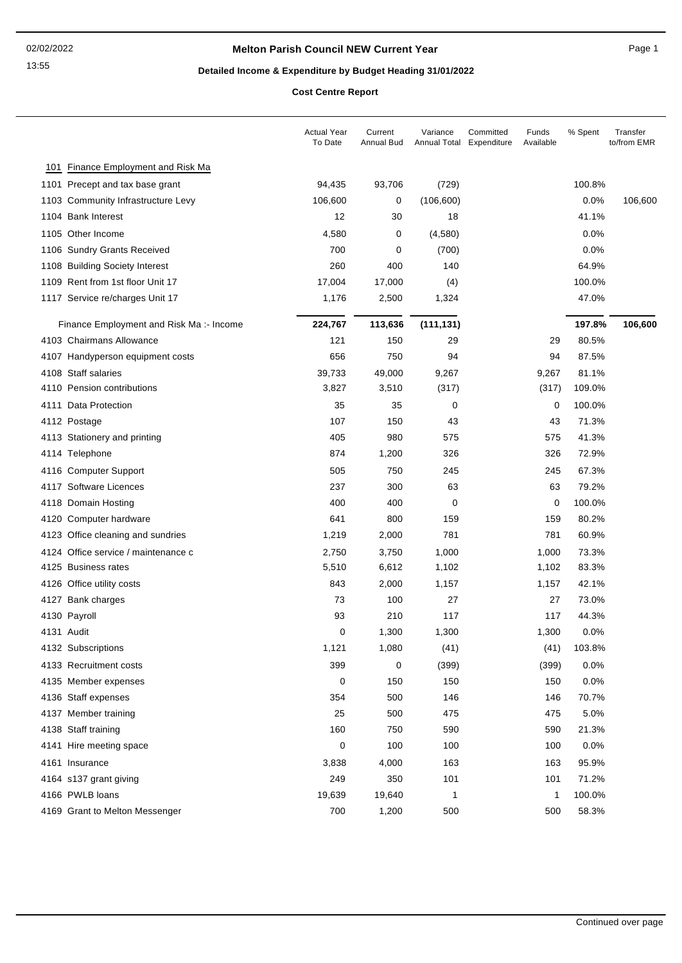### **Melton Parish Council NEW Current Year** Page 1

# **Detailed Income & Expenditure by Budget Heading 31/01/2022**

**Cost Centre Report**

|     |                                         | <b>Actual Year</b><br>To Date | Current<br>Annual Bud | Variance<br>Annual Total | Committed<br>Expenditure | Funds<br>Available | % Spent | Transfer<br>to/from EMR |
|-----|-----------------------------------------|-------------------------------|-----------------------|--------------------------|--------------------------|--------------------|---------|-------------------------|
| 101 | Finance Employment and Risk Ma          |                               |                       |                          |                          |                    |         |                         |
|     | 1101 Precept and tax base grant         | 94,435                        | 93,706                | (729)                    |                          |                    | 100.8%  |                         |
|     | 1103 Community Infrastructure Levy      | 106,600                       | 0                     | (106, 600)               |                          |                    | 0.0%    | 106,600                 |
|     | 1104 Bank Interest                      | 12                            | 30                    | 18                       |                          |                    | 41.1%   |                         |
|     | 1105 Other Income                       | 4,580                         | $\mathbf 0$           | (4,580)                  |                          |                    | 0.0%    |                         |
|     | 1106 Sundry Grants Received             | 700                           | 0                     | (700)                    |                          |                    | 0.0%    |                         |
|     | 1108 Building Society Interest          | 260                           | 400                   | 140                      |                          |                    | 64.9%   |                         |
|     | 1109 Rent from 1st floor Unit 17        | 17,004                        | 17,000                | (4)                      |                          |                    | 100.0%  |                         |
|     | 1117 Service re/charges Unit 17         | 1,176                         | 2,500                 | 1,324                    |                          |                    | 47.0%   |                         |
|     | Finance Employment and Risk Ma:- Income | 224,767                       | 113,636               | (111, 131)               |                          |                    | 197.8%  | 106,600                 |
|     | 4103 Chairmans Allowance                | 121                           | 150                   | 29                       |                          | 29                 | 80.5%   |                         |
|     | 4107 Handyperson equipment costs        | 656                           | 750                   | 94                       |                          | 94                 | 87.5%   |                         |
|     | 4108 Staff salaries                     | 39,733                        | 49,000                | 9,267                    |                          | 9,267              | 81.1%   |                         |
|     | 4110 Pension contributions              | 3,827                         | 3,510                 | (317)                    |                          | (317)              | 109.0%  |                         |
|     | 4111 Data Protection                    | 35                            | 35                    | 0                        |                          | $\mathbf 0$        | 100.0%  |                         |
|     | 4112 Postage                            | 107                           | 150                   | 43                       |                          | 43                 | 71.3%   |                         |
|     | 4113 Stationery and printing            | 405                           | 980                   | 575                      |                          | 575                | 41.3%   |                         |
|     | 4114 Telephone                          | 874                           | 1,200                 | 326                      |                          | 326                | 72.9%   |                         |
|     | 4116 Computer Support                   | 505                           | 750                   | 245                      |                          | 245                | 67.3%   |                         |
|     | 4117 Software Licences                  | 237                           | 300                   | 63                       |                          | 63                 | 79.2%   |                         |
|     | 4118 Domain Hosting                     | 400                           | 400                   | 0                        |                          | $\mathbf 0$        | 100.0%  |                         |
|     | 4120 Computer hardware                  | 641                           | 800                   | 159                      |                          | 159                | 80.2%   |                         |
|     | 4123 Office cleaning and sundries       | 1,219                         | 2,000                 | 781                      |                          | 781                | 60.9%   |                         |
|     | 4124 Office service / maintenance c     | 2,750                         | 3,750                 | 1,000                    |                          | 1,000              | 73.3%   |                         |
|     | 4125 Business rates                     | 5,510                         | 6,612                 | 1,102                    |                          | 1,102              | 83.3%   |                         |
|     | 4126 Office utility costs               | 843                           | 2,000                 | 1,157                    |                          | 1,157              | 42.1%   |                         |
|     | 4127 Bank charges                       | 73                            | 100                   | 27                       |                          | 27                 | 73.0%   |                         |
|     | 4130 Payroll                            | 93                            | 210                   | 117                      |                          | 117                | 44.3%   |                         |
|     | 4131 Audit                              | 0                             | 1,300                 | 1,300                    |                          | 1,300              | 0.0%    |                         |
|     | 4132 Subscriptions                      | 1,121                         | 1,080                 | (41)                     |                          | (41)               | 103.8%  |                         |
|     | 4133 Recruitment costs                  | 399                           | 0                     | (399)                    |                          | (399)              | 0.0%    |                         |
|     | 4135 Member expenses                    | 0                             | 150                   | 150                      |                          | 150                | 0.0%    |                         |
|     | 4136 Staff expenses                     | 354                           | 500                   | 146                      |                          | 146                | 70.7%   |                         |
|     | 4137 Member training                    | 25                            | 500                   | 475                      |                          | 475                | 5.0%    |                         |
|     | 4138 Staff training                     | 160                           | 750                   | 590                      |                          | 590                | 21.3%   |                         |
|     | 4141 Hire meeting space                 | 0                             | 100                   | 100                      |                          | 100                | 0.0%    |                         |
|     | 4161 Insurance                          | 3,838                         | 4,000                 | 163                      |                          | 163                | 95.9%   |                         |
|     | 4164 s137 grant giving                  | 249                           | 350                   | 101                      |                          | 101                | 71.2%   |                         |
|     | 4166 PWLB loans                         | 19,639                        | 19,640                | 1                        |                          | 1                  | 100.0%  |                         |
|     | 4169 Grant to Melton Messenger          | 700                           | 1,200                 | 500                      |                          | 500                | 58.3%   |                         |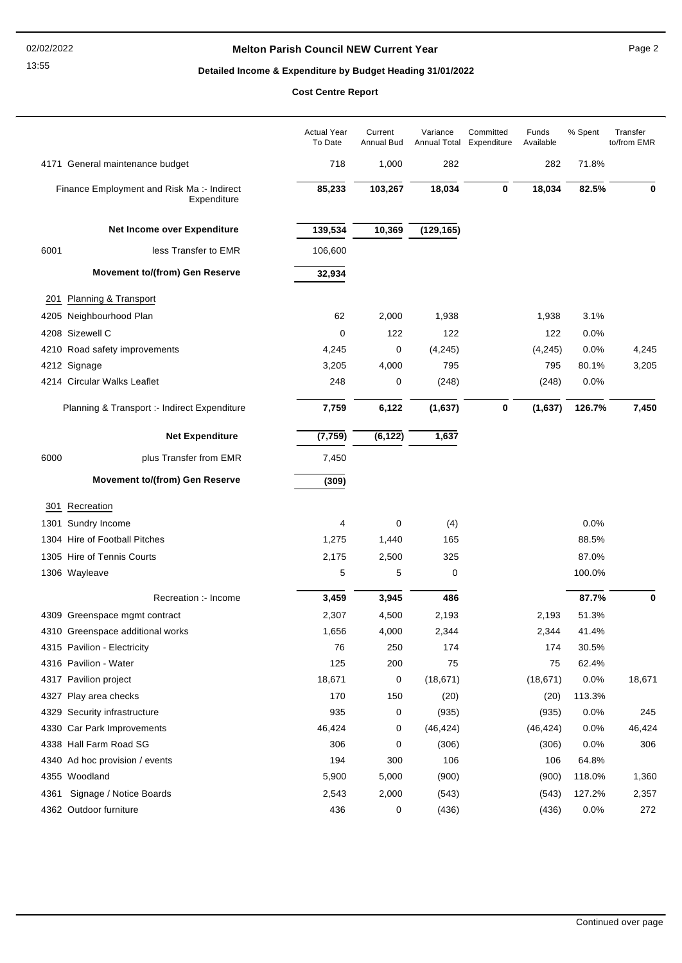### **Melton Parish Council NEW Current Year** Page 2

# **Detailed Income & Expenditure by Budget Heading 31/01/2022**

**Cost Centre Report**

|      |                                                           | <b>Actual Year</b><br>To Date | Current<br>Annual Bud | Variance   | Committed<br>Annual Total Expenditure | Funds<br>Available | % Spent | Transfer<br>to/from EMR |
|------|-----------------------------------------------------------|-------------------------------|-----------------------|------------|---------------------------------------|--------------------|---------|-------------------------|
|      | 4171 General maintenance budget                           | 718                           | 1,000                 | 282        |                                       | 282                | 71.8%   |                         |
|      | Finance Employment and Risk Ma :- Indirect<br>Expenditure | 85,233                        | 103,267               | 18,034     | $\bf{0}$                              | 18,034             | 82.5%   | 0                       |
|      | Net Income over Expenditure                               | 139,534                       | 10,369                | (129, 165) |                                       |                    |         |                         |
| 6001 | less Transfer to EMR                                      | 106,600                       |                       |            |                                       |                    |         |                         |
|      | <b>Movement to/(from) Gen Reserve</b>                     | 32,934                        |                       |            |                                       |                    |         |                         |
| 201  | Planning & Transport                                      |                               |                       |            |                                       |                    |         |                         |
|      | 4205 Neighbourhood Plan                                   | 62                            | 2,000                 | 1,938      |                                       | 1,938              | 3.1%    |                         |
|      | 4208 Sizewell C                                           | 0                             | 122                   | 122        |                                       | 122                | 0.0%    |                         |
|      | 4210 Road safety improvements                             | 4,245                         | 0                     | (4, 245)   |                                       | (4,245)            | 0.0%    | 4,245                   |
|      | 4212 Signage                                              | 3,205                         | 4,000                 | 795        |                                       | 795                | 80.1%   | 3,205                   |
|      | 4214 Circular Walks Leaflet                               | 248                           | 0                     | (248)      |                                       | (248)              | 0.0%    |                         |
|      | Planning & Transport :- Indirect Expenditure              | 7,759                         | 6,122                 | (1,637)    | 0                                     | (1,637)            | 126.7%  | 7,450                   |
|      | <b>Net Expenditure</b>                                    | (7, 759)                      | (6, 122)              | 1,637      |                                       |                    |         |                         |
| 6000 | plus Transfer from EMR                                    | 7,450                         |                       |            |                                       |                    |         |                         |
|      | <b>Movement to/(from) Gen Reserve</b>                     | (309)                         |                       |            |                                       |                    |         |                         |
| 301  | Recreation                                                |                               |                       |            |                                       |                    |         |                         |
|      | 1301 Sundry Income                                        | 4                             | 0                     | (4)        |                                       |                    | 0.0%    |                         |
|      | 1304 Hire of Football Pitches                             | 1,275                         | 1,440                 | 165        |                                       |                    | 88.5%   |                         |
|      | 1305 Hire of Tennis Courts                                | 2,175                         | 2,500                 | 325        |                                       |                    | 87.0%   |                         |
|      | 1306 Wayleave                                             | 5                             | 5                     | 0          |                                       |                    | 100.0%  |                         |
|      | Recreation :- Income                                      | 3,459                         | 3,945                 | 486        |                                       |                    | 87.7%   | 0                       |
|      | 4309 Greenspace mgmt contract                             | 2,307                         | 4,500                 | 2,193      |                                       | 2,193              | 51.3%   |                         |
|      | 4310 Greenspace additional works                          | 1,656                         | 4,000                 | 2,344      |                                       | 2,344              | 41.4%   |                         |
|      | 4315 Pavilion - Electricity                               | 76                            | 250                   | 174        |                                       | 174                | 30.5%   |                         |
|      | 4316 Pavilion - Water                                     | 125                           | 200                   | 75         |                                       | 75                 | 62.4%   |                         |
|      | 4317 Pavilion project                                     | 18,671                        | 0                     | (18, 671)  |                                       | (18, 671)          | 0.0%    | 18,671                  |
|      | 4327 Play area checks                                     | 170                           | 150                   | (20)       |                                       | (20)               | 113.3%  |                         |
|      | 4329 Security infrastructure                              | 935                           | 0                     | (935)      |                                       | (935)              | 0.0%    | 245                     |
|      | 4330 Car Park Improvements                                | 46,424                        | 0                     | (46, 424)  |                                       | (46, 424)          | 0.0%    | 46,424                  |
|      | 4338 Hall Farm Road SG                                    | 306                           | 0                     | (306)      |                                       | (306)              | 0.0%    | 306                     |
|      | 4340 Ad hoc provision / events                            | 194                           | 300                   | 106        |                                       | 106                | 64.8%   |                         |
|      | 4355 Woodland                                             | 5,900                         | 5,000                 | (900)      |                                       | (900)              | 118.0%  | 1,360                   |
| 4361 | Signage / Notice Boards                                   | 2,543                         | 2,000                 | (543)      |                                       | (543)              | 127.2%  | 2,357                   |
|      | 4362 Outdoor furniture                                    | 436                           | 0                     | (436)      |                                       | (436)              | 0.0%    | 272                     |